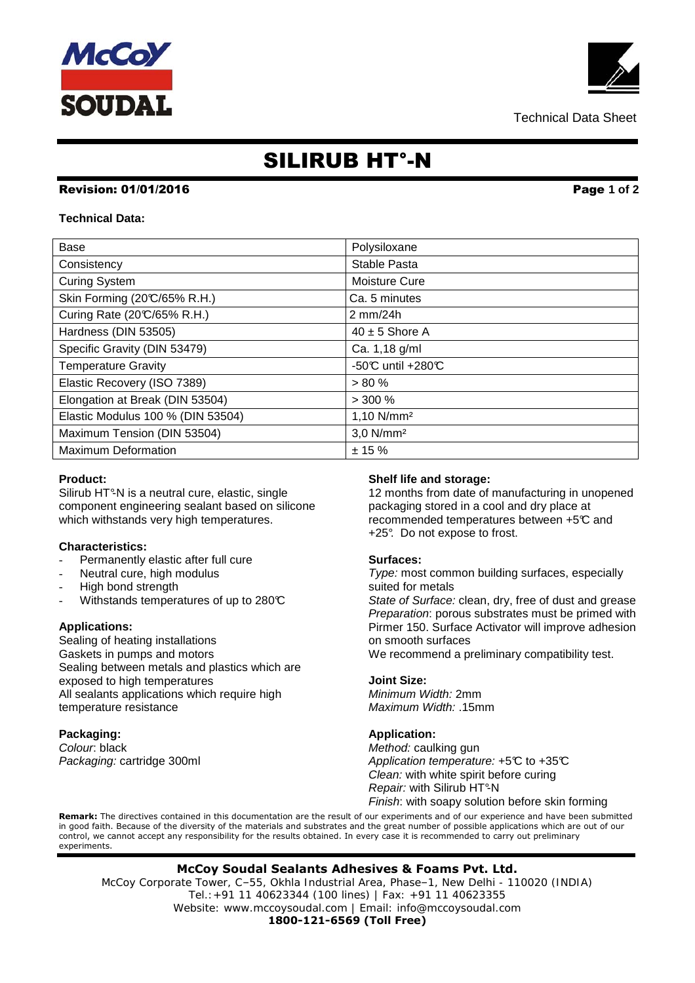# McCo) **SOUDAL**

## SILIRUB HT°-N

#### Revision: 01/01/2016 Page **1 of 2**

#### **Technical Data:**

| <b>Base</b>                       | Polysiloxane             |
|-----------------------------------|--------------------------|
| Consistency                       | Stable Pasta             |
| <b>Curing System</b>              | Moisture Cure            |
| Skin Forming (20°C/65% R.H.)      | Ca. 5 minutes            |
| Curing Rate (20°C/65% R.H.)       | $2 \text{ mm}/24h$       |
| Hardness (DIN 53505)              | $40 \pm 5$ Shore A       |
| Specific Gravity (DIN 53479)      | Ca. 1,18 g/ml            |
| <b>Temperature Gravity</b>        | -50℃ until +280℃         |
| Elastic Recovery (ISO 7389)       | > 80%                    |
| Elongation at Break (DIN 53504)   | $> 300 \%$               |
| Elastic Modulus 100 % (DIN 53504) | $1,10$ N/mm <sup>2</sup> |
| Maximum Tension (DIN 53504)       | $3,0$ N/mm <sup>2</sup>  |
| <b>Maximum Deformation</b>        | ± 15%                    |

#### **Product:**

Silirub HT°-N is a neutral cure, elastic, single component engineering sealant based on silicone which withstands very high temperatures.

#### **Characteristics:**

- Permanently elastic after full cure
- Neutral cure, high modulus
- High bond strength
- Withstands temperatures of up to 280°C

#### **Applications:**

Sealing of heating installations Gaskets in pumps and motors Sealing between metals and plastics which are exposed to high temperatures All sealants applications which require high temperature resistance

**Packaging:** Colour: black Packaging: cartridge 300ml

#### **Shelf life and storage:**

12 months from date of manufacturing in unopened packaging stored in a cool and dry place at recommended temperatures between +5°C and +25°. Do not expose to frost.

#### **Surfaces:**

Type: most common building surfaces, especially suited for metals

State of Surface: clean, dry, free of dust and grease Preparation: porous substrates must be primed with Pirmer 150. Surface Activator will improve adhesion on smooth surfaces

We recommend a preliminary compatibility test.

#### **Joint Size:**

Minimum Width: 2mm Maximum Width: .15mm

#### **Application:**

Method: caulking gun Application temperature: +5°C to +35°C Clean: with white spirit before curing Repair: with Silirub HT°-N Finish: with soapy solution before skin forming

**Remark:** The directives contained in this documentation are the result of our experiments and of our experience and have been submitted in good faith. Because of the diversity of the materials and substrates and the great number of possible applications which are out of our control, we cannot accept any responsibility for the results obtained. In every case it is recommended to carry out preliminary experiments.

#### **McCoy Soudal Sealants Adhesives & Foams Pvt. Ltd.**

McCoy Corporate Tower, C–55, Okhla Industrial Area, Phase–1, New Delhi - 110020 (INDIA) Tel.:+91 11 40623344 (100 lines) | Fax: +91 11 40623355 Website: www.mccoysoudal.com | Email: info@mccoysoudal.com

**1800-121-6569 (Toll Free)**

Technical Data Sheet